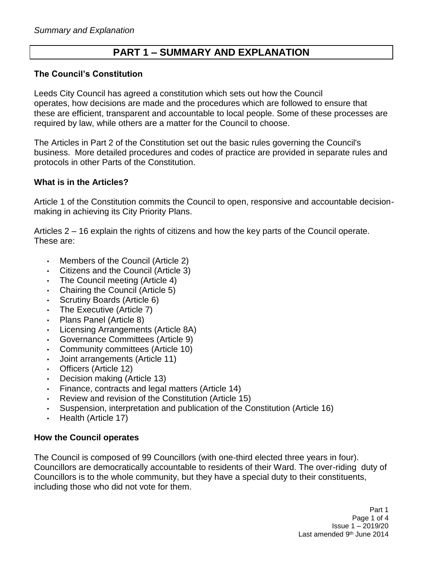# **PART 1 – SUMMARY AND EXPLANATION**

### **The Council's Constitution**

Leeds City Council has agreed a constitution which sets out how the Council operates, how decisions are made and the procedures which are followed to ensure that these are efficient, transparent and accountable to local people. Some of these processes are required by law, while others are a matter for the Council to choose.

The Articles in Part 2 of the Constitution set out the basic rules governing the Council's business. More detailed procedures and codes of practice are provided in separate rules and protocols in other Parts of the Constitution.

#### **What is in the Articles?**

Article 1 of the Constitution commits the Council to open, responsive and accountable decisionmaking in achieving its City Priority Plans.

Articles 2 – 16 explain the rights of citizens and how the key parts of the Council operate. These are:

- Members of the Council (Article 2)
- Citizens and the Council (Article 3)
- The Council meeting (Article 4)
- Chairing the Council (Article 5)
- Scrutiny Boards (Article 6)
- The Executive (Article 7)
- Plans Panel (Article 8)
- Licensing Arrangements (Article 8A)
- Governance Committees (Article 9)
- Community committees (Article 10)
- Joint arrangements (Article 11)
- Officers (Article 12)
- Decision making (Article 13)
- Finance, contracts and legal matters (Article 14)
- Review and revision of the Constitution (Article 15)
- Suspension, interpretation and publication of the Constitution (Article 16)
- Health (Article 17)

#### **How the Council operates**

The Council is composed of 99 Councillors (with one-third elected three years in four). Councillors are democratically accountable to residents of their Ward. The over-riding duty of Councillors is to the whole community, but they have a special duty to their constituents, including those who did not vote for them.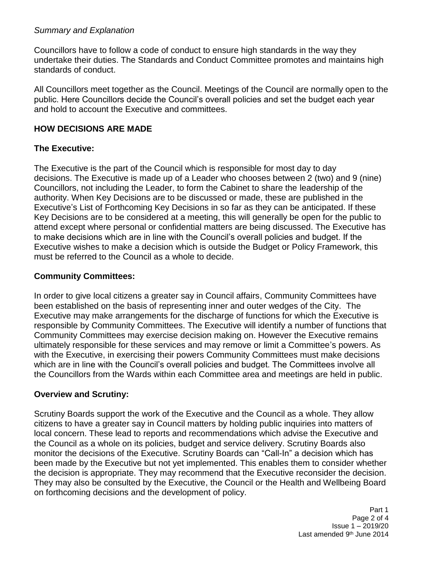### *Summary and Explanation*

Councillors have to follow a code of conduct to ensure high standards in the way they undertake their duties. The Standards and Conduct Committee promotes and maintains high standards of conduct.

All Councillors meet together as the Council. Meetings of the Council are normally open to the public. Here Councillors decide the Council's overall policies and set the budget each year and hold to account the Executive and committees.

### **HOW DECISIONS ARE MADE**

### **The Executive:**

The Executive is the part of the Council which is responsible for most day to day decisions. The Executive is made up of a Leader who chooses between 2 (two) and 9 (nine) Councillors, not including the Leader, to form the Cabinet to share the leadership of the authority. When Key Decisions are to be discussed or made, these are published in the Executive's List of Forthcoming Key Decisions in so far as they can be anticipated. If these Key Decisions are to be considered at a meeting, this will generally be open for the public to attend except where personal or confidential matters are being discussed. The Executive has to make decisions which are in line with the Council's overall policies and budget. If the Executive wishes to make a decision which is outside the Budget or Policy Framework, this must be referred to the Council as a whole to decide.

### **Community Committees:**

In order to give local citizens a greater say in Council affairs, Community Committees have been established on the basis of representing inner and outer wedges of the City. The Executive may make arrangements for the discharge of functions for which the Executive is responsible by Community Committees. The Executive will identify a number of functions that Community Committees may exercise decision making on. However the Executive remains ultimately responsible for these services and may remove or limit a Committee's powers. As with the Executive, in exercising their powers Community Committees must make decisions which are in line with the Council's overall policies and budget. The Committees involve all the Councillors from the Wards within each Committee area and meetings are held in public.

### **Overview and Scrutiny:**

Scrutiny Boards support the work of the Executive and the Council as a whole. They allow citizens to have a greater say in Council matters by holding public inquiries into matters of local concern. These lead to reports and recommendations which advise the Executive and the Council as a whole on its policies, budget and service delivery. Scrutiny Boards also monitor the decisions of the Executive. Scrutiny Boards can "Call-In" a decision which has been made by the Executive but not yet implemented. This enables them to consider whether the decision is appropriate. They may recommend that the Executive reconsider the decision. They may also be consulted by the Executive, the Council or the Health and Wellbeing Board on forthcoming decisions and the development of policy.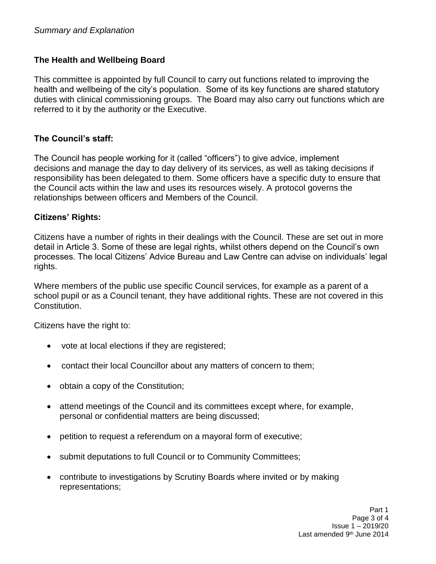### **The Health and Wellbeing Board**

This committee is appointed by full Council to carry out functions related to improving the health and wellbeing of the city's population. Some of its key functions are shared statutory duties with clinical commissioning groups. The Board may also carry out functions which are referred to it by the authority or the Executive.

### **The Council's staff:**

The Council has people working for it (called "officers") to give advice, implement decisions and manage the day to day delivery of its services, as well as taking decisions if responsibility has been delegated to them. Some officers have a specific duty to ensure that the Council acts within the law and uses its resources wisely. A protocol governs the relationships between officers and Members of the Council.

#### **Citizens' Rights:**

Citizens have a number of rights in their dealings with the Council. These are set out in more detail in Article 3. Some of these are legal rights, whilst others depend on the Council's own processes. The local Citizens' Advice Bureau and Law Centre can advise on individuals' legal rights.

Where members of the public use specific Council services, for example as a parent of a school pupil or as a Council tenant, they have additional rights. These are not covered in this Constitution.

Citizens have the right to:

- vote at local elections if they are registered;
- contact their local Councillor about any matters of concern to them;
- obtain a copy of the Constitution;
- attend meetings of the Council and its committees except where, for example, personal or confidential matters are being discussed;
- petition to request a referendum on a mayoral form of executive;
- submit deputations to full Council or to Community Committees;
- contribute to investigations by Scrutiny Boards where invited or by making representations;